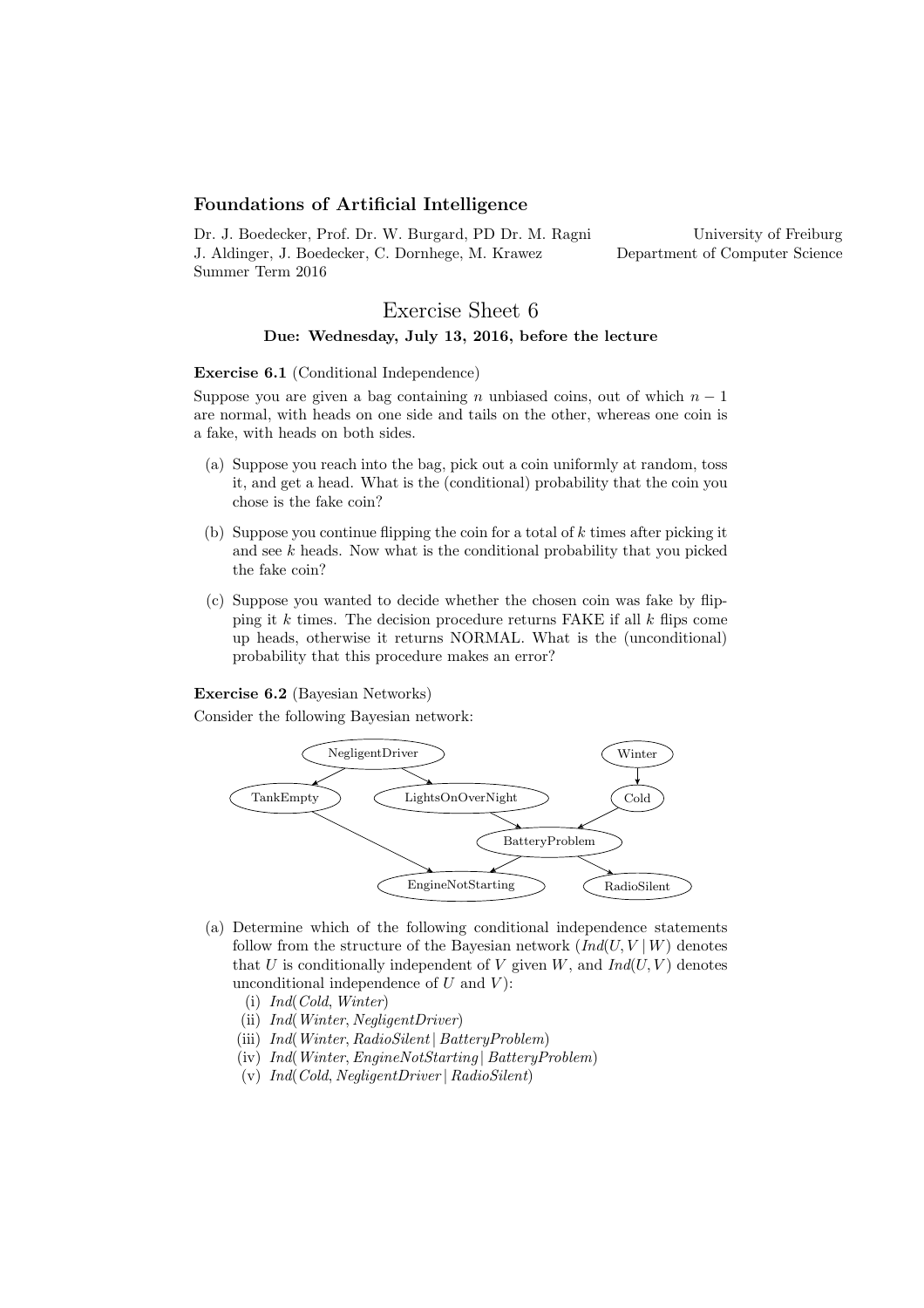# Foundations of Artificial Intelligence

Dr. J. Boedecker, Prof. Dr. W. Burgard, PD Dr. M. Ragni J. Aldinger, J. Boedecker, C. Dornhege, M. Krawez Summer Term 2016

University of Freiburg Department of Computer Science

# Exercise Sheet 6 Due: Wednesday, July 13, 2016, before the lecture

#### Exercise 6.1 (Conditional Independence)

Suppose you are given a bag containing n unbiased coins, out of which  $n-1$ are normal, with heads on one side and tails on the other, whereas one coin is a fake, with heads on both sides.

- (a) Suppose you reach into the bag, pick out a coin uniformly at random, toss it, and get a head. What is the (conditional) probability that the coin you chose is the fake coin?
- (b) Suppose you continue flipping the coin for a total of  $k$  times after picking it and see  $k$  heads. Now what is the conditional probability that you picked the fake coin?
- (c) Suppose you wanted to decide whether the chosen coin was fake by flipping it  $k$  times. The decision procedure returns FAKE if all  $k$  flips come up heads, otherwise it returns NORMAL. What is the (unconditional) probability that this procedure makes an error?

### Exercise 6.2 (Bayesian Networks)

Consider the following Bayesian network:



- (a) Determine which of the following conditional independence statements follow from the structure of the Bayesian network  $(Ind(U, V | W))$  denotes that U is conditionally independent of V given  $W$ , and  $Ind(U, V)$  denotes unconditional independence of  $U$  and  $V$ :
	- (i) Ind(Cold, Winter)
	- (ii) Ind(Winter, NegligentDriver)
	- (iii) Ind(Winter, RadioSilent | BatteryProblem)
	- (iv) Ind(Winter,EngineNotStarting | BatteryProblem)
	- (v) Ind(Cold, NegligentDriver | RadioSilent)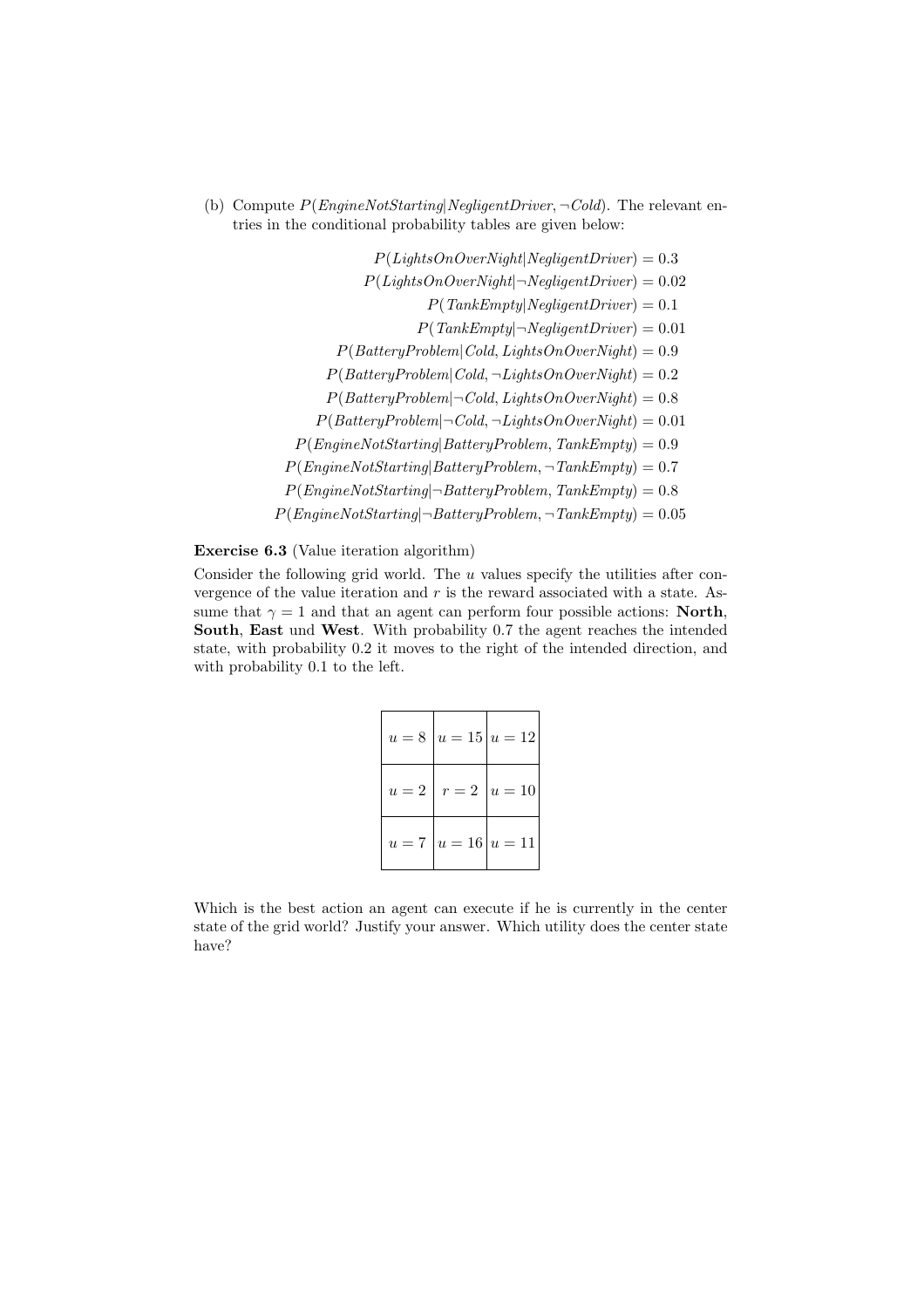(b) Compute  $P(EnqineNotStarting|Negative: \neg Cold)$ . The relevant entries in the conditional probability tables are given below:

> $P(Lights On OverNight|Negative) = 0.3$  $P(LiahtsOnOverNiaht|\neg NealiaentDriver) = 0.02$  $P(TankEmpty|Negative) = 0.1$  $P(TankEmpty|\neg NegligentDirect) = 0.01$  $P(Battery Problem | Cold, LightsOnOverRight) = 0.9$  $P(Battery Problem | Cold, \neg LightsOnOverNight) = 0.2$  $P(Battery Problem | \neg Cold, LightsOnOverRight) = 0.8$  $P(Battery Problem | \neg Cold, \neg LightsOnOverRight) = 0.01$  $P(Engineering|BatteryProblem, TankEmpty) = 0.9$  $P(Engineering|BatteryProblem, \neg TankEmpty) = 0.7$  $P(EngineeringNotStarting | \neg BatteryProblem, TankEmpty) = 0.8$  $P(EngineeringNotStarting | \neg BatteryProblem, \neg TankEmpty) = 0.05$

# Exercise 6.3 (Value iteration algorithm)

Consider the following grid world. The  $u$  values specify the utilities after convergence of the value iteration and  $r$  is the reward associated with a state. Assume that  $\gamma = 1$  and that an agent can perform four possible actions: **North**, South, East und West. With probability 0.7 the agent reaches the intended state, with probability 0.2 it moves to the right of the intended direction, and with probability 0.1 to the left.

|  | $u = 8   u = 15   u = 12  $ |
|--|-----------------------------|
|  | $u=2   r=2   u=10  $        |
|  | $u = 7   u = 16   u = 11  $ |

Which is the best action an agent can execute if he is currently in the center state of the grid world? Justify your answer. Which utility does the center state have?